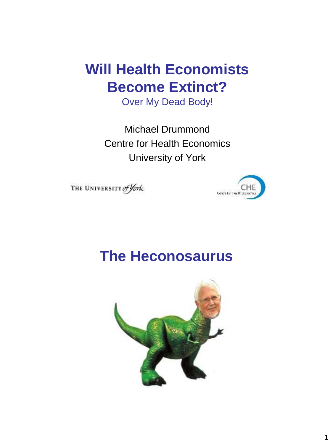## **Will Health Economists Become Extinct?**

Over My Dead Body!

Michael Drummond Centre for Health Economics University of York

THE UNIVERSITY of York



#### **The Heconosaurus**

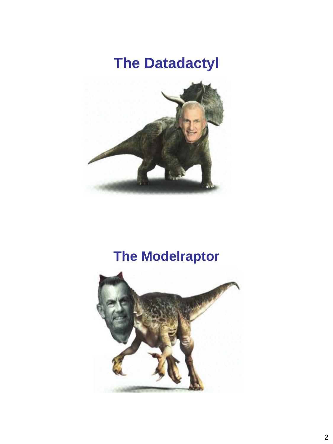# **The Datadactyl**



## **The Modelraptor**

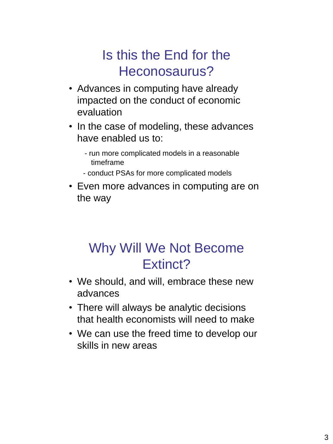#### Is this the End for the Heconosaurus?

- Advances in computing have already impacted on the conduct of economic evaluation
- In the case of modeling, these advances have enabled us to:
	- run more complicated models in a reasonable timeframe
	- conduct PSAs for more complicated models
- Even more advances in computing are on the way

#### Why Will We Not Become Extinct?

- We should, and will, embrace these new advances
- There will always be analytic decisions that health economists will need to make
- We can use the freed time to develop our skills in new areas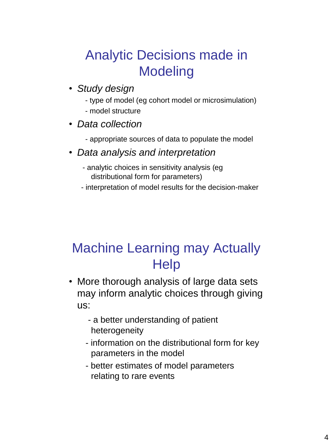### Analytic Decisions made in Modeling

- *Study design*
	- type of model (eg cohort model or microsimulation)
	- model structure
- *Data collection*
	- appropriate sources of data to populate the model
- *Data analysis and interpretation*
	- analytic choices in sensitivity analysis (eg distributional form for parameters)
	- interpretation of model results for the decision-maker

#### Machine Learning may Actually **Help**

- More thorough analysis of large data sets may inform analytic choices through giving us:
	- a better understanding of patient heterogeneity
	- information on the distributional form for key parameters in the model
	- better estimates of model parameters relating to rare events